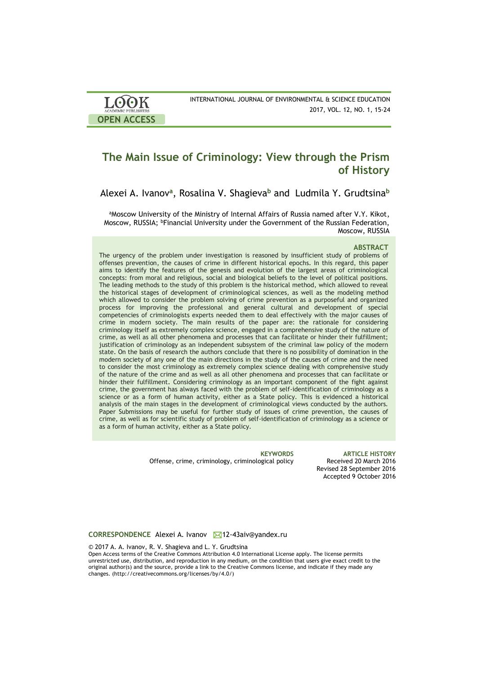| LOOK                       | INTERNATIONAL JOURNAL OF ENVIRONMENTAL & SCIENCE EDUCATION |
|----------------------------|------------------------------------------------------------|
| <b>ACADEMIC PUBLISHERS</b> | 2017, VOL. 12, NO. 1, 15-24                                |
| <b>OPEN ACCESS</b>         |                                                            |

# **The Main Issue of Criminology: View through the Prism of History**

Alexei A. Ivanov**<sup>a</sup>** , Rosalina V. Shagieva**<sup>b</sup>** and Ludmila Y. Grudtsina**<sup>b</sup>**

aMoscow University of the Ministry of Internal Affairs of Russia named after V.Y. Kikot, Moscow, RUSSIA; <sup>b</sup>Financial University under the Government of the Russian Federation, Moscow, RUSSIA

#### **ABSTRACT**

The urgency of the problem under investigation is reasoned by insufficient study of problems of offenses prevention, the causes of crime in different historical epochs. In this regard, this paper aims to identify the features of the genesis and evolution of the largest areas of criminological concepts: from moral and religious, social and biological beliefs to the level of political positions. The leading methods to the study of this problem is the historical method, which allowed to reveal the historical stages of development of criminological sciences, as well as the modeling method which allowed to consider the problem solving of crime prevention as a purposeful and organized process for improving the professional and general cultural and development of special competencies of criminologists experts needed them to deal effectively with the major causes of crime in modern society. The main results of the paper are: the rationale for considering criminology itself as extremely complex science, engaged in a comprehensive study of the nature of crime, as well as all other phenomena and processes that can facilitate or hinder their fulfillment; justification of criminology as an independent subsystem of the criminal law policy of the modern state. On the basis of research the authors conclude that there is no possibility of domination in the modern society of any one of the main directions in the study of the causes of crime and the need to consider the most criminology as extremely complex science dealing with comprehensive study of the nature of the crime and as well as all other phenomena and processes that can facilitate or hinder their fulfillment. Considering criminology as an important component of the fight against crime, the government has always faced with the problem of self-identification of criminology as a science or as a form of human activity, either as a State policy. This is evidenced a historical analysis of the main stages in the development of criminological views conducted by the authors. Paper Submissions may be useful for further study of issues of crime prevention, the causes of crime, as well as for scientific study of problem of self-identification of criminology as a science or as a form of human activity, either as a State policy.

Offense, crime, criminology, criminological policy

**KEYWORDS ARTICLE HISTORY** Revised 28 September 2016 Accepted 9 October 2016

**CORRESPONDENCE** Alexei A. Ivanov 12-43aiv@yandex.ru

© 2017 A. A. Ivanov, R. V. Shagieva and L. Y. Grudtsina Open Access terms of the Creative Commons Attribution 4.0 International License apply. The license permits unrestricted use, distribution, and reproduction in any medium, on the condition that users give exact credit to the original author(s) and the source, provide a link to the Creative Commons license, and indicate if they made any changes. (http://creativecommons.org/licenses/by/4.0/)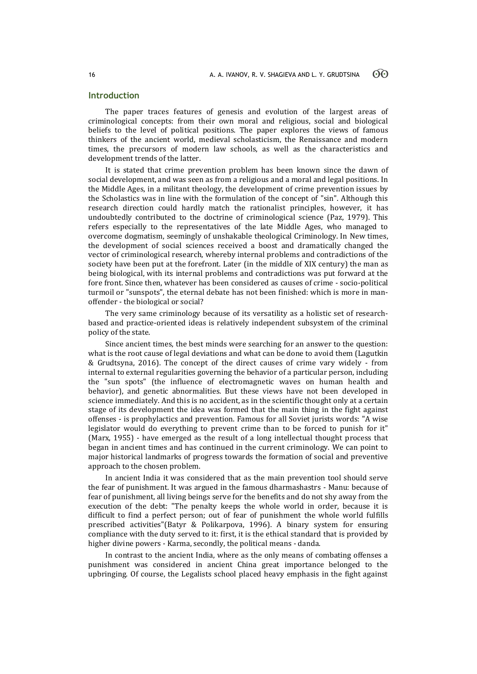## **Introduction**

The paper traces features of genesis and evolution of the largest areas of criminological concepts: from their own moral and religious, social and biological beliefs to the level of political positions. The paper explores the views of famous thinkers of the ancient world, medieval scholasticism, the Renaissance and modern times, the precursors of modern law schools, as well as the characteristics and development trends of the latter.

It is stated that crime prevention problem has been known since the dawn of social development, and was seen as from a religious and a moral and legal positions. In the Middle Ages, in a militant theology, the development of crime prevention issues by the Scholastics was in line with the formulation of the concept of "sin". Although this research direction could hardly match the rationalist principles, however, it has undoubtedly contributed to the doctrine of criminological science (Paz, 1979). This refers especially to the representatives of the late Middle Ages, who managed to overcome dogmatism, seemingly of unshakable theological Criminology. In New times, the development of social sciences received a boost and dramatically changed the vector of criminological research, whereby internal problems and contradictions of the society have been put at the forefront. Later (in the middle of XIX century) the man as being biological, with its internal problems and contradictions was put forward at the fore front. Since then, whatever has been considered as causes of crime - socio-political turmoil or "sunspots", the eternal debate has not been finished: which is more in manoffender - the biological or social?

The very same criminology because of its versatility as a holistic set of researchbased and practice-oriented ideas is relatively independent subsystem of the criminal policy of the state.

Since ancient times, the best minds were searching for an answer to the question: what is the root cause of legal deviations and what can be done to avoid them (Lagutkin & Grudtsyna, 2016). The concept of the direct causes of crime vary widely - from internal to external regularities governing the behavior of a particular person, including the "sun spots" (the influence of electromagnetic waves on human health and behavior), and genetic abnormalities. But these views have not been developed in science immediately. And this is no accident, as in the scientific thought only at a certain stage of its development the idea was formed that the main thing in the fight against offenses - is prophylactics and prevention. Famous for all Soviet jurists words: "A wise legislator would do everything to prevent crime than to be forced to punish for it" (Marx, 1955) - have emerged as the result of a long intellectual thought process that began in ancient times and has continued in the current criminology. We can point to major historical landmarks of progress towards the formation of social and preventive approach to the chosen problem.

In ancient India it was considered that as the main prevention tool should serve the fear of punishment. It was argued in the famous dharmashastrs - Manu: because of fear of punishment, all living beings serve for the benefits and do not shy away from the execution of the debt: "The penalty keeps the whole world in order, because it is difficult to find a perfect person; out of fear of punishment the whole world fulfills prescribed activities"(Batyr & Polikarpova, 1996). A binary system for ensuring compliance with the duty served to it: first, it is the ethical standard that is provided by higher divine powers - Karma, secondly, the political means - danda.

In contrast to the ancient India, where as the only means of combating offenses a punishment was considered in ancient China great importance belonged to the upbringing. Of course, the Legalists school placed heavy emphasis in the fight against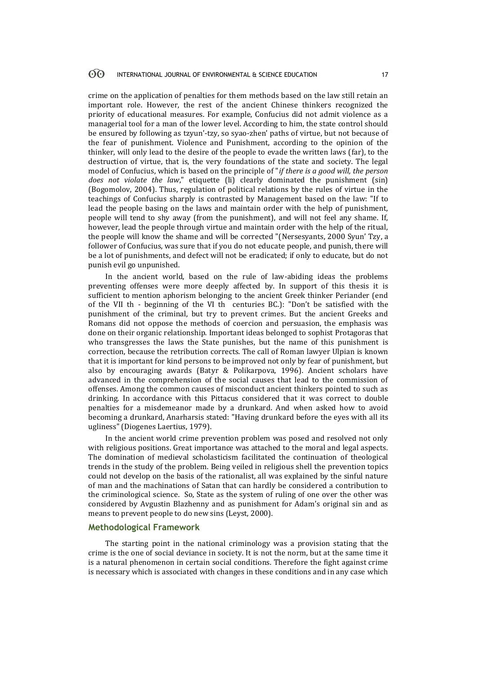crime on the application of penalties for them methods based on the law still retain an important role. However, the rest of the ancient Chinese thinkers recognized the priority of educational measures. For example, Confucius did not admit violence as a managerial tool for a man of the lower level. According to him, the state control should be ensured by following as tzyun'-tzy, so syao-zhen' paths of virtue, but not because of the fear of punishment. Violence and Punishment, according to the opinion of the thinker, will only lead to the desire of the people to evade the written laws (far), to the destruction of virtue, that is, the very foundations of the state and society. The legal model of Confucius, which is based on the principle of "*if there is a good will, the person does not violate the law*," etiquette (li) clearly dominated the punishment (sin) (Bogomolov, 2004). Thus, regulation of political relations by the rules of virtue in the teachings of Confucius sharply is contrasted by Management based on the law: "If to lead the people basing on the laws and maintain order with the help of punishment, people will tend to shy away (from the punishment), and will not feel any shame. If, however, lead the people through virtue and maintain order with the help of the ritual, the people will know the shame and will be corrected "(Nersesyants, 2000 Syun' Tzy, a follower of Confucius, was sure that if you do not educate people, and punish, there will be a lot of punishments, and defect will not be eradicated; if only to educate, but do not punish evil go unpunished.

In the ancient world, based on the rule of law-abiding ideas the problems preventing offenses were more deeply affected by. In support of this thesis it is sufficient to mention aphorism belonging to the ancient Greek thinker Periander (end of the VII th - beginning of the VI th centuries BC.): "Don't be satisfied with the punishment of the criminal, but try to prevent crimes. But the ancient Greeks and Romans did not oppose the methods of coercion and persuasion, the emphasis was done on their organic relationship. Important ideas belonged to sophist Protagoras that who transgresses the laws the State punishes, but the name of this punishment is correction, because the retribution corrects. The call of Roman lawyer Ulpian is known that it is important for kind persons to be improved not only by fear of punishment, but also by encouraging awards (Batyr & Polikarpova, 1996). Ancient scholars have advanced in the comprehension of the social causes that lead to the commission of offenses. Among the common causes of misconduct ancient thinkers pointed to such as drinking. In accordance with this Pittacus considered that it was correct to double penalties for a misdemeanor made by a drunkard. And when asked how to avoid becoming a drunkard, Anarharsis stated: "Having drunkard before the eyes with all its ugliness" (Diogenes Laertius, 1979).

In the ancient world crime prevention problem was posed and resolved not only with religious positions. Great importance was attached to the moral and legal aspects. The domination of medieval scholasticism facilitated the continuation of theological trends in the study of the problem. Being veiled in religious shell the prevention topics could not develop on the basis of the rationalist, all was explained by the sinful nature of man and the machinations of Satan that can hardly be considered a contribution to the criminological science. So, State as the system of ruling of one over the other was considered by Avgustin Blazhenny and as punishment for Adam's original sin and as means to prevent people to do new sins (Leyst, 2000).

#### **Methodological Framework**

The starting point in the national criminology was a provision stating that the crime is the one of social deviance in society. It is not the norm, but at the same time it is a natural phenomenon in certain social conditions. Therefore the fight against crime is necessary which is associated with changes in these conditions and in any case which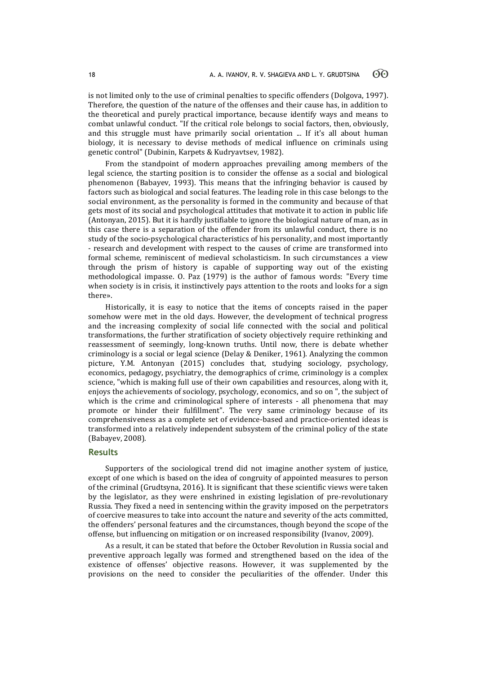is not limited only to the use of criminal penalties to specific offenders (Dolgova, 1997). Therefore, the question of the nature of the offenses and their cause has, in addition to the theoretical and purely practical importance, because identify ways and means to combat unlawful conduct. "If the critical role belongs to social factors, then, obviously, and this struggle must have primarily social orientation ... If it's all about human biology, it is necessary to devise methods of medical influence on criminals using genetic control" (Dubinin, Karpets & Kudryavtsev, 1982).

From the standpoint of modern approaches prevailing among members of the legal science, the starting position is to consider the offense as a social and biological phenomenon (Babayev, 1993). This means that the infringing behavior is caused by factors such as biological and social features. The leading role in this case belongs to the social environment, as the personality is formed in the community and because of that gets most of its social and psychological attitudes that motivate it to action in public life (Antonyan, 2015). But it is hardly justifiable to ignore the biological nature of man, as in this case there is a separation of the offender from its unlawful conduct, there is no study of the socio-psychological characteristics of his personality, and most importantly - research and development with respect to the causes of crime are transformed into formal scheme, reminiscent of medieval scholasticism. In such circumstances a view through the prism of history is capable of supporting way out of the existing methodological impasse. O. Paz (1979) is the author of famous words: "Every time when society is in crisis, it instinctively pays attention to the roots and looks for a sign there».

Historically, it is easy to notice that the items of concepts raised in the paper somehow were met in the old days. However, the development of technical progress and the increasing complexity of social life connected with the social and political transformations, the further stratification of society objectively require rethinking and reassessment of seemingly, long-known truths. Until now, there is debate whether criminology is a social or legal science (Delay & Deniker, 1961). Analyzing the common picture, Y.M. Antonyan (2015) concludes that, studying sociology, psychology, economics, pedagogy, psychiatry, the demographics of crime, criminology is a complex science, "which is making full use of their own capabilities and resources, along with it, enjoys the achievements of sociology, psychology, economics, and so on ", the subject of which is the crime and criminological sphere of interests - all phenomena that may promote or hinder their fulfillment". The very same criminology because of its comprehensiveness as a complete set of evidence-based and practice-oriented ideas is transformed into a relatively independent subsystem of the criminal policy of the state (Babayev, 2008).

# **Results**

Supporters of the sociological trend did not imagine another system of justice, except of one which is based on the idea of congruity of appointed measures to person of the criminal (Grudtsyna, 2016). It is significant that these scientific views were taken by the legislator, as they were enshrined in existing legislation of pre-revolutionary Russia. They fixed a need in sentencing within the gravity imposed on the perpetrators of coercive measures to take into account the nature and severity of the acts committed, the offenders' personal features and the circumstances, though beyond the scope of the offense, but influencing on mitigation or on increased responsibility (Ivanov, 2009).

As a result, it can be stated that before the October Revolution in Russia social and preventive approach legally was formed and strengthened based on the idea of the existence of offenses' objective reasons. However, it was supplemented by the provisions on the need to consider the peculiarities of the offender. Under this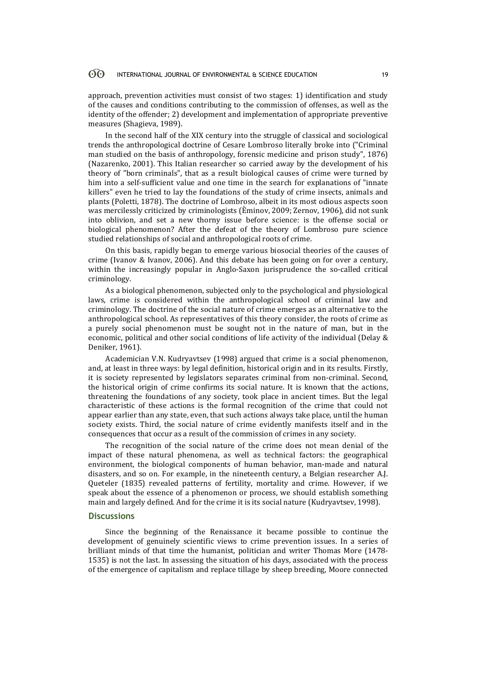#### 60 INTERNATIONAL JOURNAL OF ENVIRONMENTAL & SCIENCE EDUCATION 19

approach, prevention activities must consist of two stages: 1) identification and study of the causes and conditions contributing to the commission of offenses, as well as the identity of the offender; 2) development and implementation of appropriate preventive measures (Shagieva, 1989).

In the second half of the XIX century into the struggle of classical and sociological trends the anthropological doctrine of Cesare Lombroso literally broke into ("Criminal man studied on the basis of anthropology, forensic medicine and prison study", 1876) (Nazarenko, 2001). This Italian researcher so carried away by the development of his theory of "born criminals", that as a result biological causes of crime were turned by him into a self-sufficient value and one time in the search for explanations of "innate killers" even he tried to lay the foundations of the study of crime insects, animals and plants (Poletti, 1878). The doctrine of Lombroso, albeit in its most odious aspects soon was mercilessly criticized by criminologists (Èminov, 2009; Zernov, 1906), did not sunk into oblivion, and set a new thorny issue before science: is the offense social or biological phenomenon? After the defeat of the theory of Lombroso pure science studied relationships of social and anthropological roots of crime.

On this basis, rapidly began to emerge various biosocial theories of the causes of crime (Ivanov & Ivanov, 2006). And this debate has been going on for over a century, within the increasingly popular in Anglo-Saxon jurisprudence the so-called critical criminology.

As a biological phenomenon, subjected only to the psychological and physiological laws, crime is considered within the anthropological school of criminal law and criminology. The doctrine of the social nature of crime emerges as an alternative to the anthropological school. As representatives of this theory consider, the roots of crime as a purely social phenomenon must be sought not in the nature of man, but in the economic, political and other social conditions of life activity of the individual (Delay & Deniker, 1961).

Academician V.N. Kudryavtsev (1998) argued that crime is a social phenomenon, and, at least in three ways: by legal definition, historical origin and in its results. Firstly, it is society represented by legislators separates criminal from non-criminal. Second, the historical origin of crime confirms its social nature. It is known that the actions, threatening the foundations of any society, took place in ancient times. But the legal characteristic of these actions is the formal recognition of the crime that could not appear earlier than any state, even, that such actions always take place, until the human society exists. Third, the social nature of crime evidently manifests itself and in the consequences that occur as a result of the commission of crimes in any society.

The recognition of the social nature of the crime does not mean denial of the impact of these natural phenomena, as well as technical factors: the geographical environment, the biological components of human behavior, man-made and natural disasters, and so on. For example, in the nineteenth century, a Belgian researcher A.J. Queteler (1835) revealed patterns of fertility, mortality and crime. However, if we speak about the essence of a phenomenon or process, we should establish something main and largely defined. And for the crime it is its social nature (Kudryavtsev, 1998).

### **Discussions**

Since the beginning of the Renaissance it became possible to continue the development of genuinely scientific views to crime prevention issues. In a series of brilliant minds of that time the humanist, politician and writer Thomas More (1478- 1535) is not the last. In assessing the situation of his days, associated with the process of the emergence of capitalism and replace tillage by sheep breeding, Moore connected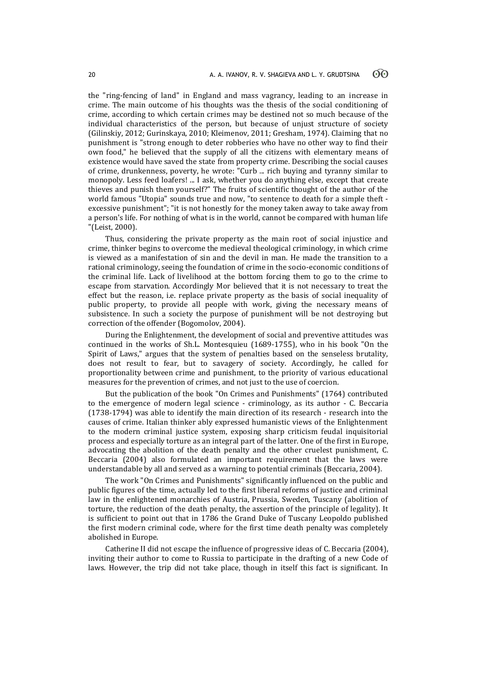the "ring-fencing of land" in England and mass vagrancy, leading to an increase in crime. The main outcome of his thoughts was the thesis of the social conditioning of crime, according to which certain crimes may be destined not so much because of the individual characteristics of the person, but because of unjust structure of society (Gilinskiy, 2012; Gurinskaya, 2010; Kleimenov, 2011; Gresham, 1974). Claiming that no punishment is "strong enough to deter robberies who have no other way to find their own food," he believed that the supply of all the citizens with elementary means of existence would have saved the state from property crime. Describing the social causes of crime, drunkenness, poverty, he wrote: "Curb ... rich buying and tyranny similar to monopoly. Less feed loafers! ... I ask, whether you do anything else, except that create thieves and punish them yourself?" The fruits of scientific thought of the author of the world famous "Utopia" sounds true and now, "to sentence to death for a simple theft excessive punishment"; "it is not honestly for the money taken away to take away from a person's life. For nothing of what is in the world, cannot be compared with human life "(Leist, 2000).

Thus, considering the private property as the main root of social injustice and crime, thinker begins to overcome the medieval theological criminology, in which crime is viewed as a manifestation of sin and the devil in man. He made the transition to a rational criminology, seeing the foundation of crime in the socio-economic conditions of the criminal life. Lack of livelihood at the bottom forcing them to go to the crime to escape from starvation. Accordingly Mor believed that it is not necessary to treat the effect but the reason, i.e. replace private property as the basis of social inequality of public property, to provide all people with work, giving the necessary means of subsistence. In such a society the purpose of punishment will be not destroying but correction of the offender (Bogomolov, 2004).

During the Enlightenment, the development of social and preventive attitudes was continued in the works of Sh.L. Montesquieu (1689-1755), who in his book "On the Spirit of Laws," argues that the system of penalties based on the senseless brutality, does not result to fear, but to savagery of society. Accordingly, he called for proportionality between crime and punishment, to the priority of various educational measures for the prevention of crimes, and not just to the use of coercion.

But the publication of the book "On Crimes and Punishments" (1764) contributed to the emergence of modern legal science - criminology, as its author - C. Beccaria (1738-1794) was able to identify the main direction of its research - research into the causes of crime. Italian thinker ably expressed humanistic views of the Enlightenment to the modern criminal justice system, exposing sharp criticism feudal inquisitorial process and especially torture as an integral part of the latter. One of the first in Europe, advocating the abolition of the death penalty and the other cruelest punishment, C. Beccaria (2004) also formulated an important requirement that the laws were understandable by all and served as a warning to potential criminals (Beccaria, 2004).

The work "On Crimes and Punishments" significantly influenced on the public and public figures of the time, actually led to the first liberal reforms of justice and criminal law in the enlightened monarchies of Austria, Prussia, Sweden, Tuscany (abolition of torture, the reduction of the death penalty, the assertion of the principle of legality). It is sufficient to point out that in 1786 the Grand Duke of Tuscany Leopoldo published the first modern criminal code, where for the first time death penalty was completely abolished in Europe.

Catherine II did not escape the influence of progressive ideas of C. Beccaria (2004), inviting their author to come to Russia to participate in the drafting of a new Code of laws. However, the trip did not take place, though in itself this fact is significant. In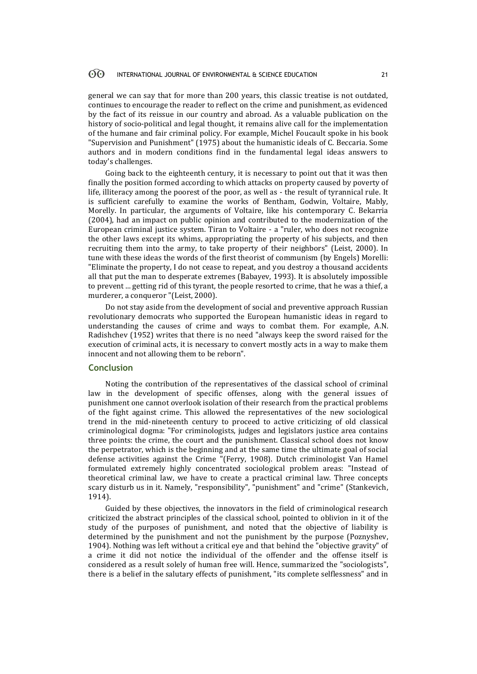#### 60 INTERNATIONAL JOURNAL OF ENVIRONMENTAL & SCIENCE EDUCATION 21

general we can say that for more than 200 years, this classic treatise is not outdated, continues to encourage the reader to reflect on the crime and punishment, as evidenced by the fact of its reissue in our country and abroad. As a valuable publication on the history of socio-political and legal thought, it remains alive call for the implementation of the humane and fair criminal policy. For example, Michel Foucault spoke in his book "Supervision and Punishment" (1975) about the humanistic ideals of C. Beccaria. Some authors and in modern conditions find in the fundamental legal ideas answers to today's challenges.

Going back to the eighteenth century, it is necessary to point out that it was then finally the position formed according to which attacks on property caused by poverty of life, illiteracy among the poorest of the poor, as well as - the result of tyrannical rule. It is sufficient carefully to examine the works of Bentham, Godwin, Voltaire, Mably, Morelly. In particular, the arguments of Voltaire, like his contemporary C. Bekarria (2004), had an impact on public opinion and contributed to the modernization of the European criminal justice system. Tiran to Voltaire - a "ruler, who does not recognize the other laws except its whims, appropriating the property of his subjects, and then recruiting them into the army, to take property of their neighbors" (Leist, 2000). In tune with these ideas the words of the first theorist of communism (by Engels) Morelli: "Eliminate the property, I do not cease to repeat, and you destroy a thousand accidents all that put the man to desperate extremes (Babayev, 1993). It is absolutely impossible to prevent ... getting rid of this tyrant, the people resorted to crime, that he was a thief, a murderer, a conqueror "(Leist, 2000).

Do not stay aside from the development of social and preventive approach Russian revolutionary democrats who supported the European humanistic ideas in regard to understanding the causes of crime and ways to combat them. For example, A.N. Radishchev (1952) writes that there is no need "always keep the sword raised for the execution of criminal acts, it is necessary to convert mostly acts in a way to make them innocent and not allowing them to be reborn".

### **Conclusion**

Noting the contribution of the representatives of the classical school of criminal law in the development of specific offenses, along with the general issues of punishment one cannot overlook isolation of their research from the practical problems of the fight against crime. This allowed the representatives of the new sociological trend in the mid-nineteenth century to proceed to active criticizing of old classical criminological dogma: "For criminologists, judges and legislators justice area contains three points: the crime, the court and the punishment. Classical school does not know the perpetrator, which is the beginning and at the same time the ultimate goal of social defense activities against the Crime "(Ferry, 1908). Dutch criminologist Van Hamel formulated extremely highly concentrated sociological problem areas: "Instead of theoretical criminal law, we have to create a practical criminal law. Three concepts scary disturb us in it. Namely, "responsibility", "punishment" and "crime" (Stankevich, 1914).

Guided by these objectives, the innovators in the field of criminological research criticized the abstract principles of the classical school, pointed to oblivion in it of the study of the purposes of punishment, and noted that the objective of liability is determined by the punishment and not the punishment by the purpose (Poznyshev, 1904). Nothing was left without a critical eye and that behind the "objective gravity" of a crime it did not notice the individual of the offender and the offense itself is considered as a result solely of human free will. Hence, summarized the "sociologists", there is a belief in the salutary effects of punishment, "its complete selflessness" and in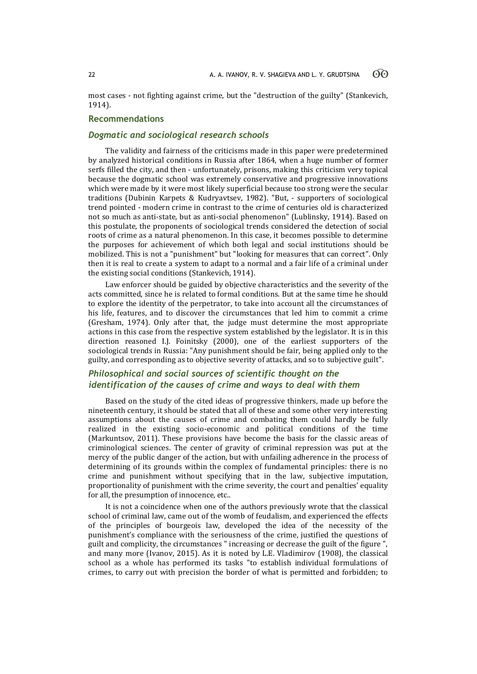most cases - not fighting against crime, but the "destruction of the guilty" (Stankevich, 1914).

# **Recommendations**

# *Dogmatic and sociological research schools*

The validity and fairness of the criticisms made in this paper were predetermined by analyzed historical conditions in Russia after 1864, when a huge number of former serfs filled the city, and then - unfortunately, prisons, making this criticism very topical because the dogmatic school was extremely conservative and progressive innovations which were made by it were most likely superficial because too strong were the secular traditions (Dubinin Karpets & Kudryavtsev, 1982). "But, - supporters of sociological trend pointed - modern crime in contrast to the crime of centuries old is characterized not so much as anti-state, but as anti-social phenomenon" (Lublinsky, 1914). Based on this postulate, the proponents of sociological trends considered the detection of social roots of crime as a natural phenomenon. In this case, it becomes possible to determine the purposes for achievement of which both legal and social institutions should be mobilized. This is not a "punishment" but "looking for measures that can correct". Only then it is real to create a system to adapt to a normal and a fair life of a criminal under the existing social conditions (Stankevich, 1914).

Law enforcer should be guided by objective characteristics and the severity of the acts committed, since he is related to formal conditions. But at the same time he should to explore the identity of the perpetrator, to take into account all the circumstances of his life, features, and to discover the circumstances that led him to commit a crime (Gresham, 1974). Only after that, the judge must determine the most appropriate actions in this case from the respective system established by the legislator. It is in this direction reasoned I.J. Foinitsky (2000), one of the earliest supporters of the sociological trends in Russia: "Any punishment should be fair, being applied only to the guilty, and corresponding as to objective severity of attacks, and so to subjective guilt".

# *Philosophical and social sources of scientific thought on the identification of the causes of crime and ways to deal with them*

Based on the study of the cited ideas of progressive thinkers, made up before the nineteenth century, it should be stated that all of these and some other very interesting assumptions about the causes of crime and combating them could hardly be fully realized in the existing socio-economic and political conditions of the time (Markuntsov, 2011). These provisions have become the basis for the classic areas of criminological sciences. The center of gravity of criminal repression was put at the mercy of the public danger of the action, but with unfailing adherence in the process of determining of its grounds within the complex of fundamental principles: there is no crime and punishment without specifying that in the law, subjective imputation, proportionality of punishment with the crime severity, the court and penalties' equality for all, the presumption of innocence, etc..

It is not a coincidence when one of the authors previously wrote that the classical school of criminal law, came out of the womb of feudalism, and experienced the effects of the principles of bourgeois law, developed the idea of the necessity of the punishment's compliance with the seriousness of the crime, justified the questions of guilt and complicity, the circumstances " increasing or decrease the guilt of the figure ", and many more (Ivanov, 2015). As it is noted by L.E. Vladimirov (1908), the classical school as a whole has performed its tasks "to establish individual formulations of crimes, to carry out with precision the border of what is permitted and forbidden; to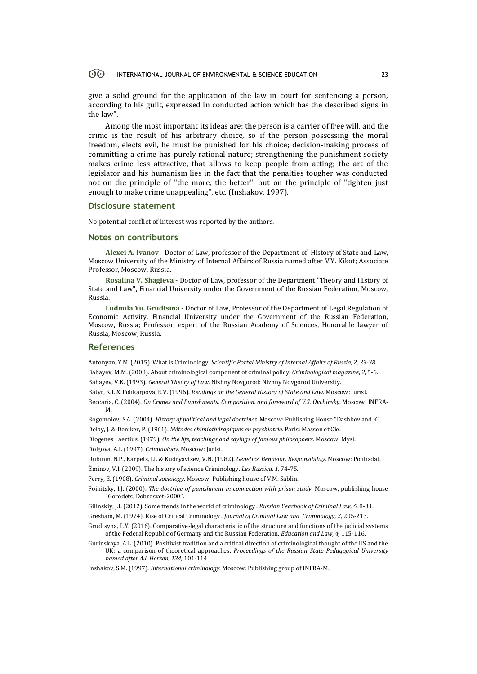#### 60 INTERNATIONAL JOURNAL OF ENVIRONMENTAL & SCIENCE EDUCATION 23

give a solid ground for the application of the law in court for sentencing a person, according to his guilt, expressed in conducted action which has the described signs in the law".

Among the most important its ideas are: the person is a carrier of free will, and the crime is the result of his arbitrary choice, so if the person possessing the moral freedom, elects evil, he must be punished for his choice; decision-making process of committing a crime has purely rational nature; strengthening the punishment society makes crime less attractive, that allows to keep people from acting; the art of the legislator and his humanism lies in the fact that the penalties tougher was conducted not on the principle of "the more, the better", but on the principle of "tighten just enough to make crime unappealing", etc. (Inshakov, 1997).

#### **Disclosure statement**

No potential conflict of interest was reported by the authors.

### **Notes on contributors**

**Alexei A. Ivanov** - Doctor of Law, professor of the Department of History of State and Law, Moscow University of the Ministry of Internal Affairs of Russia named after V.Y. Kikot; Associate Professor, Moscow, Russia.

**Rosalina V. Shagieva** - Doctor of Law, professor of the Department "Theory and History of State and Law", Financial University under the Government of the Russian Federation, Moscow, Russia.

**Ludmila Yu. Grudtsina** - Doctor of Law, Professor of the Department of Legal Regulation of Economic Activity, Financial University under the Government of the Russian Federation, Moscow, Russia; Professor, expert of the Russian Academy of Sciences, Honorable lawyer of Russia, Moscow, Russia.

### **References**

Antonyan, Y.M. (2015). What is Criminology. *Scientific Portal Ministry of Internal Affairs of Russia, 2, 33-38.* Babayev, M.M. (2008). About criminological component of criminal policy. *Criminological magazine*, *2*, 5-6. Babayev, V.K. (1993). *General Theory of Law.* Nizhny Novgorod: Nizhny Novgorod University.

Batyr, K.I. & Polikarpova, E.V. (1996). *Readings on the General History of State and Law*. Moscow: Jurist.

Beccaria, C. (2004). *On Crimes and Punishments. Composition. and foreword of V.S. Ovchinsky*. Moscow: INFRA-M.

Bogomolov, S.A. (2004). *History of political and legal doctrines.* Moscow: Publishing House "Dashkov and K". Delay, J. & Deniker, P. (1961). *Métodes chimiothérapiques en psychiatrie.* Paris: Masson et Cie.

Diogenes Laertius. (1979). *On the life, teachings and sayings of famous philosophers.* Moscow: Mysl.

Dolgova, A.I. (1997). *Criminology.* Moscow: Jurist.

Dubinin, N.P., Karpets, I.I. & Kudryavtsev, V.N. (1982). *Genetics. Behavior. Responsibility*. Moscow: Politizdat.

Èminov, V.I. (2009). The history of science Criminology. *Lex Russica, 1,* 74-75.

Ferry, E. (1908). *Criminal sociology*. Moscow: Publishing house of V.M. Sablin.

- Foinitsky, I.J. (2000). *The doctrine of punishment in connection with prison study.* Moscow, publishing house "Gorodets, Dobrosvet-2000".
- Gilinskiy, J.I. (2012). Some trends in the world of criminology . *Russian Yearbook of Criminal Law, 6*, 8-31.

Gresham, M. (1974). Rise of Critical Criminology . *Journal of Criminal Law and Criminology, 2,* 205-213.

- Grudtsyna, L.Y. (2016). Comparative-legal characteristic of the structure and functions of the judicial systems of the Federal Republic of Germany and the Russian Federation. *Education and Law, 4,* 115-116.
- Gurinskaya, A.L. (2010). Positivist tradition and a critical direction of criminological thought of the US and the UK: a comparison of theoretical approaches. *Proceedings of the Russian State Pedagogical University named after A.I. Herzen, 134,* 101-114

Inshakov, S.M. (1997). *International criminology.* Moscow: Publishing group of INFRA-M.